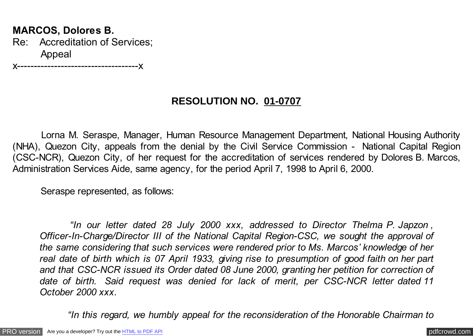## **MARCOS, Dolores B.** Re: Accreditation of Services; Appeal

x------------------------------------x

## **RESOLUTION NO. 01-0707**

 Lorna M. Seraspe, Manager, Human Resource Management Department, National Housing Authority (NHA), Quezon City, appeals from the denial by the Civil Service Commission - National Capital Region (CSC-NCR), Quezon City, of her request for the accreditation of services rendered by Dolores B. Marcos, Administration Services Aide, same agency, for the period April 7, 1998 to April 6, 2000.

Seraspe represented, as follows:

 *"In our letter dated 28 July 2000 xxx, addressed to Director Thelma P. Japzon , Officer-In-Charge/Director III of the National Capital Region-CSC, we sought the approval of the same considering that such services were rendered prior to Ms. Marcos' knowledge of her real date of birth which is 07 April 1933, giving rise to presumption of good faith on her part and that CSC-NCR issued its Order dated 08 June 2000, granting her petition for correction of date of birth. Said request was denied for lack of merit, per CSC-NCR letter dated 11 October 2000 xxx.*

 *"In this regard, we humbly appeal for the reconsideration of the Honorable Chairman to*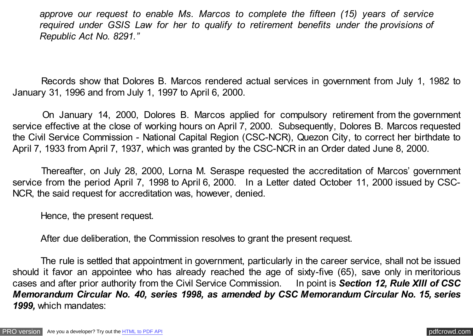*approve our request to enable Ms. Marcos to complete the fifteen (15) years of service required under GSIS Law for her to qualify to retirement benefits under the provisions of Republic Act No. 8291."*

 Records show that Dolores B. Marcos rendered actual services in government from July 1, 1982 to January 31, 1996 and from July 1, 1997 to April 6, 2000.

 On January 14, 2000, Dolores B. Marcos applied for compulsory retirement from the government service effective at the close of working hours on April 7, 2000. Subsequently, Dolores B. Marcos requested the Civil Service Commission - National Capital Region (CSC-NCR), Quezon City, to correct her birthdate to April 7, 1933 from April 7, 1937, which was granted by the CSC-NCR in an Order dated June 8, 2000.

 Thereafter, on July 28, 2000, Lorna M. Seraspe requested the accreditation of Marcos' government service from the period April 7, 1998 to April 6, 2000. In a Letter dated October 11, 2000 issued by CSC-NCR, the said request for accreditation was, however, denied.

Hence, the present request.

After due deliberation, the Commission resolves to grant the present request.

 The rule is settled that appointment in government, particularly in the career service, shall not be issued should it favor an appointee who has already reached the age of sixty-five (65), save only in meritorious cases and after prior authority from the Civil Service Commission. In point is *Section 12, Rule XIII of CSC Memorandum Circular No. 40, series 1998, as amended by CSC Memorandum Circular No. 15, series 1999,* which mandates: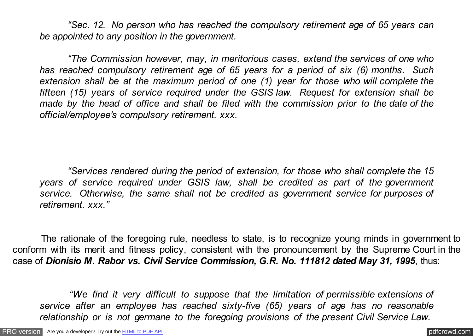*"Sec. 12. No person who has reached the compulsory retirement age of 65 years can be appointed to any position in the government.*

 *"The Commission however, may, in meritorious cases, extend the services of one who has reached compulsory retirement age of 65 years for a period of six (6) months. Such extension shall be at the maximum period of one (1) year for those who will complete the fifteen (15) years of service required under the GSIS law. Request for extension shall be made by the head of office and shall be filed with the commission prior to the date of the official/employee's compulsory retirement. xxx.*

 *"Services rendered during the period of extension, for those who shall complete the 15 years of service required under GSIS law, shall be credited as part of the government service. Otherwise, the same shall not be credited as government service for purposes of retirement. xxx."*

 The rationale of the foregoing rule, needless to state, is to recognize young minds in government to conform with its merit and fitness policy, consistent with the pronouncement by the Supreme Court in the case of *Dionisio M. Rabor vs. Civil Service Commission, G.R. No. 111812 dated May 31, 1995*, thus:

 *"We find it very difficult to suppose that the limitation of permissible extensions of service after an employee has reached sixty-five (65) years of age has no reasonable relationship or is not germane to the foregoing provisions of the present Civil Service Law.*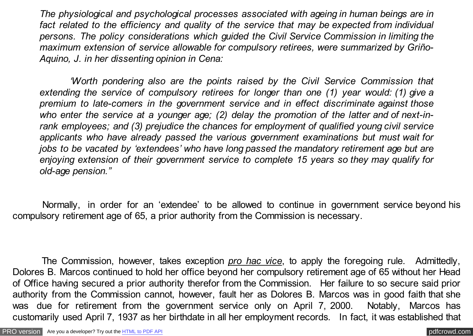*The physiological and psychological processes associated with ageing in human beings are in fact related to the efficiency and quality of the service that may be expected from individual persons. The policy considerations which guided the Civil Service Commission in limiting the maximum extension of service allowable for compulsory retirees, were summarized by Griño-Aquino, J. in her dissenting opinion in Cena:*

 *'Worth pondering also are the points raised by the Civil Service Commission that extending the service of compulsory retirees for longer than one (1) year would: (1) give a premium to late-comers in the government service and in effect discriminate against those who enter the service at a younger age; (2) delay the promotion of the latter and of next-inrank employees; and (3) prejudice the chances for employment of qualified young civil service applicants who have already passed the various government examinations but must wait for jobs to be vacated by 'extendees' who have long passed the mandatory retirement age but are enjoying extension of their government service to complete 15 years so they may qualify for old-age pension."*

 Normally, in order for an 'extendee' to be allowed to continue in government service beyond his compulsory retirement age of 65, a prior authority from the Commission is necessary.

 The Commission, however, takes exception *pro hac vice*, to apply the foregoing rule. Admittedly, Dolores B. Marcos continued to hold her office beyond her compulsory retirement age of 65 without her Head of Office having secured a prior authority therefor from the Commission. Her failure to so secure said prior authority from the Commission cannot, however, fault her as Dolores B. Marcos was in good faith that she was due for retirement from the government service only on April 7, 2000. Notably, Marcos has customarily used April 7, 1937 as her birthdate in all her employment records. In fact, it was established that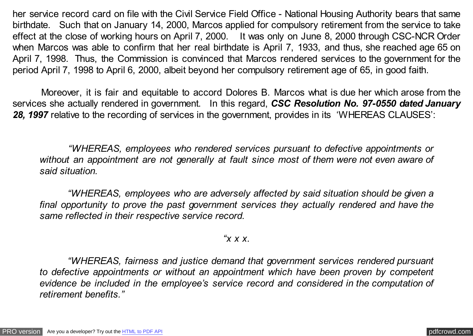her service record card on file with the Civil Service Field Office - National Housing Authority bears that same birthdate. Such that on January 14, 2000, Marcos applied for compulsory retirement from the service to take effect at the close of working hours on April 7, 2000. It was only on June 8, 2000 through CSC-NCR Order when Marcos was able to confirm that her real birthdate is April 7, 1933, and thus, she reached age 65 on April 7, 1998. Thus, the Commission is convinced that Marcos rendered services to the government for the period April 7, 1998 to April 6, 2000, albeit beyond her compulsory retirement age of 65, in good faith.

 Moreover, it is fair and equitable to accord Dolores B. Marcos what is due her which arose from the services she actually rendered in government. In this regard, *CSC Resolution No. 97-0550 dated January 28, 1997* relative to the recording of services in the government, provides in its 'WHEREAS CLAUSES':

 *"WHEREAS, employees who rendered services pursuant to defective appointments or without an appointment are not generally at fault since most of them were not even aware of said situation.*

 *"WHEREAS, employees who are adversely affected by said situation should be given a final opportunity to prove the past government services they actually rendered and have the same reflected in their respective service record.*

## *"x x x.*

 *"WHEREAS, fairness and justice demand that government services rendered pursuant to defective appointments or without an appointment which have been proven by competent evidence be included in the employee's service record and considered in the computation of retirement benefits."*